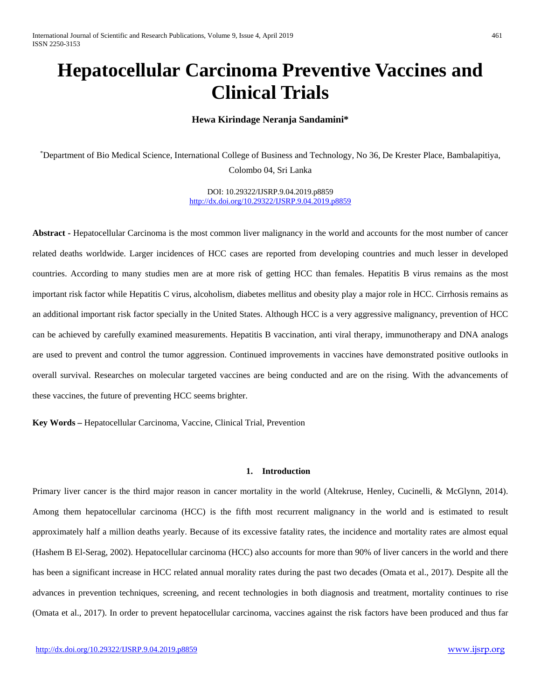# **Hepatocellular Carcinoma Preventive Vaccines and Clinical Trials**

## **Hewa Kirindage Neranja Sandamini\***

\* Department of Bio Medical Science, International College of Business and Technology, No 36, De Krester Place, Bambalapitiya, Colombo 04, Sri Lanka

> DOI: 10.29322/IJSRP.9.04.2019.p8859 [http://dx.doi.org/10.29322/IJSRP.9.04.2019.p8859](http://dx.doi.org/10.29322/IJSRP.9.03.2019.p8859)

**Abstract -** Hepatocellular Carcinoma is the most common liver malignancy in the world and accounts for the most number of cancer related deaths worldwide. Larger incidences of HCC cases are reported from developing countries and much lesser in developed countries. According to many studies men are at more risk of getting HCC than females. Hepatitis B virus remains as the most important risk factor while Hepatitis C virus, alcoholism, diabetes mellitus and obesity play a major role in HCC. Cirrhosis remains as an additional important risk factor specially in the United States. Although HCC is a very aggressive malignancy, prevention of HCC can be achieved by carefully examined measurements. Hepatitis B vaccination, anti viral therapy, immunotherapy and DNA analogs are used to prevent and control the tumor aggression. Continued improvements in vaccines have demonstrated positive outlooks in overall survival. Researches on molecular targeted vaccines are being conducted and are on the rising. With the advancements of these vaccines, the future of preventing HCC seems brighter.

**Key Words –** Hepatocellular Carcinoma, Vaccine, Clinical Trial, Prevention

## **1. Introduction**

Primary liver cancer is the third major reason in cancer mortality in the world (Altekruse, Henley, Cucinelli, & McGlynn, 2014). Among them hepatocellular carcinoma (HCC) is the fifth most recurrent malignancy in the world and is estimated to result approximately half a million deaths yearly. Because of its excessive fatality rates, the incidence and mortality rates are almost equal (Hashem B El-Serag, 2002). Hepatocellular carcinoma (HCC) also accounts for more than 90% of liver cancers in the world and there has been a significant increase in HCC related annual morality rates during the past two decades (Omata et al., 2017). Despite all the advances in prevention techniques, screening, and recent technologies in both diagnosis and treatment, mortality continues to rise (Omata et al., 2017). In order to prevent hepatocellular carcinoma, vaccines against the risk factors have been produced and thus far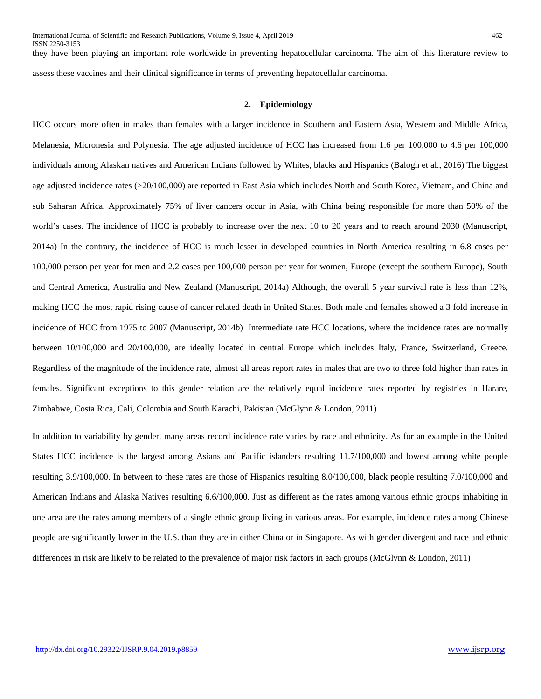they have been playing an important role worldwide in preventing hepatocellular carcinoma. The aim of this literature review to assess these vaccines and their clinical significance in terms of preventing hepatocellular carcinoma.

## **2. Epidemiology**

HCC occurs more often in males than females with a larger incidence in Southern and Eastern Asia, Western and Middle Africa, Melanesia, Micronesia and Polynesia. The age adjusted incidence of HCC has increased from 1.6 per 100,000 to 4.6 per 100,000 individuals among Alaskan natives and American Indians followed by Whites, blacks and Hispanics (Balogh et al., 2016) The biggest age adjusted incidence rates (>20/100,000) are reported in East Asia which includes North and South Korea, Vietnam, and China and sub Saharan Africa. Approximately 75% of liver cancers occur in Asia, with China being responsible for more than 50% of the world's cases. The incidence of HCC is probably to increase over the next 10 to 20 years and to reach around 2030 (Manuscript, 2014a) In the contrary, the incidence of HCC is much lesser in developed countries in North America resulting in 6.8 cases per 100,000 person per year for men and 2.2 cases per 100,000 person per year for women, Europe (except the southern Europe), South and Central America, Australia and New Zealand (Manuscript, 2014a) Although, the overall 5 year survival rate is less than 12%, making HCC the most rapid rising cause of cancer related death in United States. Both male and females showed a 3 fold increase in incidence of HCC from 1975 to 2007 (Manuscript, 2014b) Intermediate rate HCC locations, where the incidence rates are normally between 10/100,000 and 20/100,000, are ideally located in central Europe which includes Italy, France, Switzerland, Greece. Regardless of the magnitude of the incidence rate, almost all areas report rates in males that are two to three fold higher than rates in females. Significant exceptions to this gender relation are the relatively equal incidence rates reported by registries in Harare, Zimbabwe, Costa Rica, Cali, Colombia and South Karachi, Pakistan (McGlynn & London, 2011)

In addition to variability by gender, many areas record incidence rate varies by race and ethnicity. As for an example in the United States HCC incidence is the largest among Asians and Pacific islanders resulting 11.7/100,000 and lowest among white people resulting 3.9/100,000. In between to these rates are those of Hispanics resulting 8.0/100,000, black people resulting 7.0/100,000 and American Indians and Alaska Natives resulting 6.6/100,000. Just as different as the rates among various ethnic groups inhabiting in one area are the rates among members of a single ethnic group living in various areas. For example, incidence rates among Chinese people are significantly lower in the U.S. than they are in either China or in Singapore. As with gender divergent and race and ethnic differences in risk are likely to be related to the prevalence of major risk factors in each groups (McGlynn & London, 2011)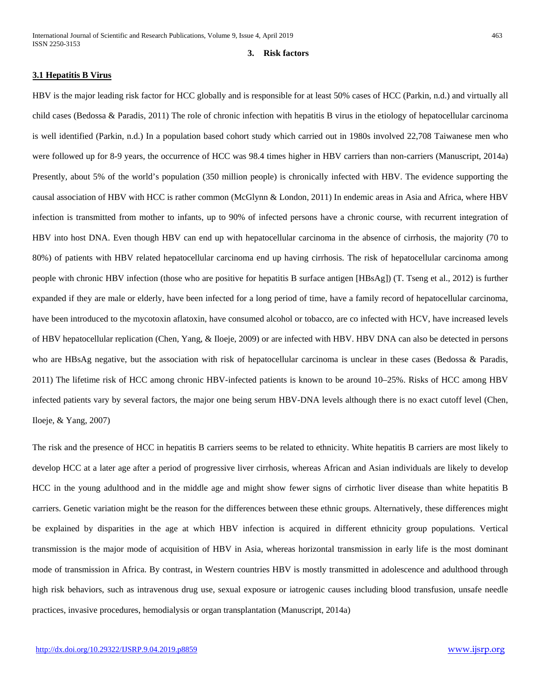#### **3. Risk factors**

## **3.1 Hepatitis B Virus**

HBV is the major leading risk factor for HCC globally and is responsible for at least 50% cases of HCC (Parkin, n.d.) and virtually all child cases (Bedossa & Paradis, 2011) The role of chronic infection with hepatitis B virus in the etiology of hepatocellular carcinoma is well identified (Parkin, n.d.) In a population based cohort study which carried out in 1980s involved 22,708 Taiwanese men who were followed up for 8-9 years, the occurrence of HCC was 98.4 times higher in HBV carriers than non-carriers (Manuscript, 2014a) Presently, about 5% of the world's population (350 million people) is chronically infected with HBV. The evidence supporting the causal association of HBV with HCC is rather common (McGlynn & London, 2011) In endemic areas in Asia and Africa, where HBV infection is transmitted from mother to infants, up to 90% of infected persons have a chronic course, with recurrent integration of HBV into host DNA. Even though HBV can end up with hepatocellular carcinoma in the absence of cirrhosis, the majority (70 to 80%) of patients with HBV related hepatocellular carcinoma end up having cirrhosis. The risk of hepatocellular carcinoma among people with chronic HBV infection (those who are positive for hepatitis B surface antigen [HBsAg]) (T. Tseng et al., 2012) is further expanded if they are male or elderly, have been infected for a long period of time, have a family record of hepatocellular carcinoma, have been introduced to the mycotoxin aflatoxin, have consumed alcohol or tobacco, are co infected with HCV, have increased levels of HBV hepatocellular replication (Chen, Yang, & Iloeje, 2009) or are infected with HBV. HBV DNA can also be detected in persons who are HBsAg negative, but the association with risk of hepatocellular carcinoma is unclear in these cases (Bedossa & Paradis, 2011) The lifetime risk of HCC among chronic HBV-infected patients is known to be around 10–25%. Risks of HCC among HBV infected patients vary by several factors, the major one being serum HBV-DNA levels although there is no exact cutoff level (Chen, Iloeje, & Yang, 2007)

The risk and the presence of HCC in hepatitis B carriers seems to be related to ethnicity. White hepatitis B carriers are most likely to develop HCC at a later age after a period of progressive liver cirrhosis, whereas African and Asian individuals are likely to develop HCC in the young adulthood and in the middle age and might show fewer signs of cirrhotic liver disease than white hepatitis B carriers. Genetic variation might be the reason for the differences between these ethnic groups. Alternatively, these differences might be explained by disparities in the age at which HBV infection is acquired in different ethnicity group populations. Vertical transmission is the major mode of acquisition of HBV in Asia, whereas horizontal transmission in early life is the most dominant mode of transmission in Africa. By contrast, in Western countries HBV is mostly transmitted in adolescence and adulthood through high risk behaviors, such as intravenous drug use, sexual exposure or iatrogenic causes including blood transfusion, unsafe needle practices, invasive procedures, hemodialysis or organ transplantation (Manuscript, 2014a)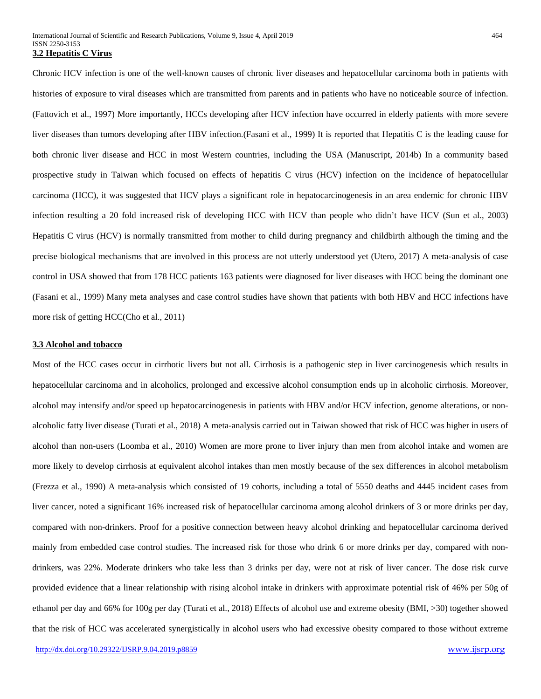Chronic HCV infection is one of the well-known causes of chronic liver diseases and hepatocellular carcinoma both in patients with histories of exposure to viral diseases which are transmitted from parents and in patients who have no noticeable source of infection. (Fattovich et al., 1997) More importantly, HCCs developing after HCV infection have occurred in elderly patients with more severe liver diseases than tumors developing after HBV infection.(Fasani et al., 1999) It is reported that Hepatitis C is the leading cause for both chronic liver disease and HCC in most Western countries, including the USA (Manuscript, 2014b) In a community based prospective study in Taiwan which focused on effects of hepatitis C virus (HCV) infection on the incidence of hepatocellular carcinoma (HCC), it was suggested that HCV plays a significant role in hepatocarcinogenesis in an area endemic for chronic HBV infection resulting a 20 fold increased risk of developing HCC with HCV than people who didn't have HCV (Sun et al., 2003) Hepatitis C virus (HCV) is normally transmitted from mother to child during pregnancy and childbirth although the timing and the precise biological mechanisms that are involved in this process are not utterly understood yet (Utero, 2017) A meta-analysis of case control in USA showed that from 178 HCC patients 163 patients were diagnosed for liver diseases with HCC being the dominant one (Fasani et al., 1999) Many meta analyses and case control studies have shown that patients with both HBV and HCC infections have more risk of getting HCC(Cho et al., 2011)

## **3.3 Alcohol and tobacco**

Most of the HCC cases occur in cirrhotic livers but not all. Cirrhosis is a pathogenic step in liver carcinogenesis which results in hepatocellular carcinoma and in alcoholics, prolonged and excessive alcohol consumption ends up in alcoholic cirrhosis. Moreover, alcohol may intensify and/or speed up hepatocarcinogenesis in patients with HBV and/or HCV infection, genome alterations, or nonalcoholic fatty liver disease (Turati et al., 2018) A meta-analysis carried out in Taiwan showed that risk of HCC was higher in users of alcohol than non-users (Loomba et al., 2010) Women are more prone to liver injury than men from alcohol intake and women are more likely to develop cirrhosis at equivalent alcohol intakes than men mostly because of the sex differences in alcohol metabolism (Frezza et al., 1990) A meta-analysis which consisted of 19 cohorts, including a total of 5550 deaths and 4445 incident cases from liver cancer, noted a significant 16% increased risk of hepatocellular carcinoma among alcohol drinkers of 3 or more drinks per day, compared with non-drinkers. Proof for a positive connection between heavy alcohol drinking and hepatocellular carcinoma derived mainly from embedded case control studies. The increased risk for those who drink 6 or more drinks per day, compared with nondrinkers, was 22%. Moderate drinkers who take less than 3 drinks per day, were not at risk of liver cancer. The dose risk curve provided evidence that a linear relationship with rising alcohol intake in drinkers with approximate potential risk of 46% per 50g of ethanol per day and 66% for 100g per day (Turati et al., 2018) Effects of alcohol use and extreme obesity (BMI, >30) together showed that the risk of HCC was accelerated synergistically in alcohol users who had excessive obesity compared to those without extreme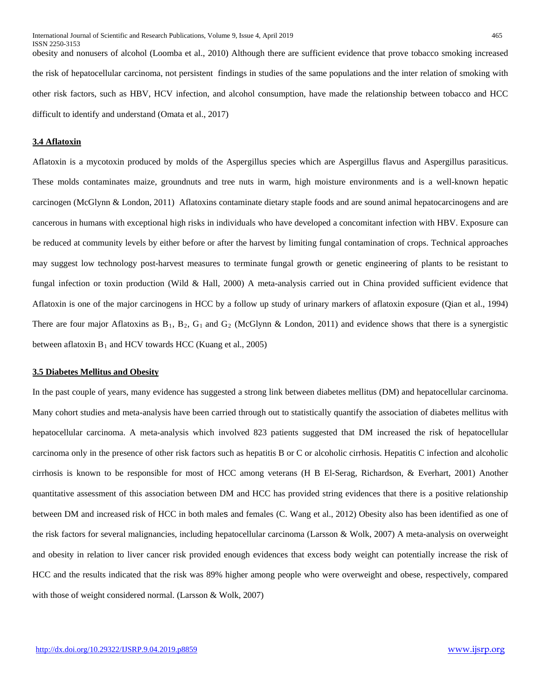obesity and nonusers of alcohol (Loomba et al., 2010) Although there are sufficient evidence that prove tobacco smoking increased the risk of hepatocellular carcinoma, not persistent findings in studies of the same populations and the inter relation of smoking with other risk factors, such as HBV, HCV infection, and alcohol consumption, have made the relationship between tobacco and HCC difficult to identify and understand (Omata et al., 2017)

## **3.4 Aflatoxin**

Aflatoxin is a mycotoxin produced by molds of the Aspergillus species which are Aspergillus flavus and Aspergillus parasiticus. These molds contaminates maize, groundnuts and tree nuts in warm, high moisture environments and is a well-known hepatic carcinogen (McGlynn & London, 2011) Aflatoxins contaminate dietary staple foods and are sound animal hepatocarcinogens and are cancerous in humans with exceptional high risks in individuals who have developed a concomitant infection with HBV. Exposure can be reduced at community levels by either before or after the harvest by limiting fungal contamination of crops. Technical approaches may suggest low technology post-harvest measures to terminate fungal growth or genetic engineering of plants to be resistant to fungal infection or toxin production (Wild & Hall, 2000) A meta-analysis carried out in China provided sufficient evidence that Aflatoxin is one of the major carcinogens in HCC by a follow up study of urinary markers of aflatoxin exposure (Qian et al., 1994) There are four major Aflatoxins as  $B_1$ ,  $B_2$ ,  $G_1$  and  $G_2$  (McGlynn & London, 2011) and evidence shows that there is a synergistic between aflatoxin  $B_1$  and HCV towards HCC (Kuang et al., 2005)

# **3.5 Diabetes Mellitus and Obesity**

In the past couple of years, many evidence has suggested a strong link between diabetes mellitus (DM) and hepatocellular carcinoma. Many cohort studies and meta-analysis have been carried through out to statistically quantify the association of diabetes mellitus with hepatocellular carcinoma. A meta-analysis which involved 823 patients suggested that DM increased the risk of hepatocellular carcinoma only in the presence of other risk factors such as hepatitis B or C or alcoholic cirrhosis. Hepatitis C infection and alcoholic cirrhosis is known to be responsible for most of HCC among veterans (H B El-Serag, Richardson, & Everhart, 2001) Another quantitative assessment of this association between DM and HCC has provided string evidences that there is a positive relationship between DM and increased risk of HCC in both males and females (C. Wang et al., 2012) Obesity also has been identified as one of the risk factors for several malignancies, including hepatocellular carcinoma (Larsson & Wolk, 2007) A meta-analysis on overweight and obesity in relation to liver cancer risk provided enough evidences that excess body weight can potentially increase the risk of HCC and the results indicated that the risk was 89% higher among people who were overweight and obese, respectively, compared with those of weight considered normal. (Larsson & Wolk, 2007)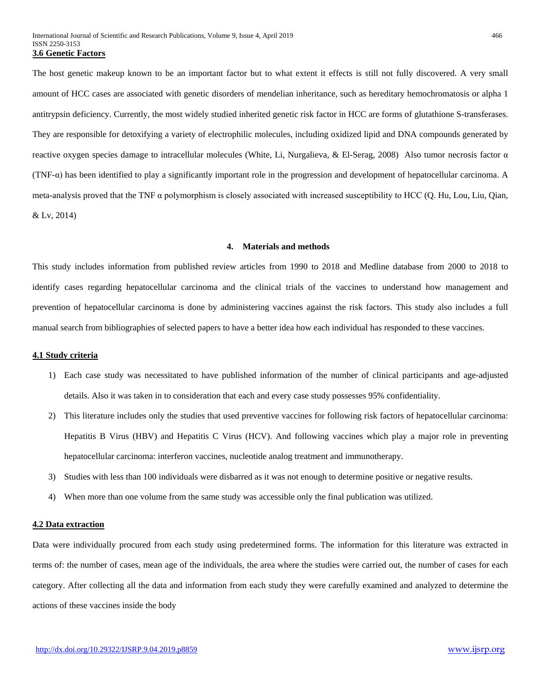The host genetic makeup known to be an important factor but to what extent it effects is still not fully discovered. A very small amount of HCC cases are associated with genetic disorders of mendelian inheritance, such as hereditary hemochromatosis or alpha 1 antitrypsin deficiency. Currently, the most widely studied inherited genetic risk factor in HCC are forms of glutathione S-transferases. They are responsible for detoxifying a variety of electrophilic molecules, including oxidized lipid and DNA compounds generated by reactive oxygen species damage to intracellular molecules (White, Li, Nurgalieva, & El-Serag, 2008) Also tumor necrosis factor α (TNF-α) has been identified to play a significantly important role in the progression and development of hepatocellular carcinoma. A meta-analysis proved that the TNF α polymorphism is closely associated with increased susceptibility to HCC (Q. Hu, Lou, Liu, Qian, & Lv, 2014)

#### **4. Materials and methods**

This study includes information from published review articles from 1990 to 2018 and Medline database from 2000 to 2018 to identify cases regarding hepatocellular carcinoma and the clinical trials of the vaccines to understand how management and prevention of hepatocellular carcinoma is done by administering vaccines against the risk factors. This study also includes a full manual search from bibliographies of selected papers to have a better idea how each individual has responded to these vaccines.

#### **4.1 Study criteria**

- 1) Each case study was necessitated to have published information of the number of clinical participants and age-adjusted details. Also it was taken in to consideration that each and every case study possesses 95% confidentiality.
- 2) This literature includes only the studies that used preventive vaccines for following risk factors of hepatocellular carcinoma: Hepatitis B Virus (HBV) and Hepatitis C Virus (HCV). And following vaccines which play a major role in preventing hepatocellular carcinoma: interferon vaccines, nucleotide analog treatment and immunotherapy.
- 3) Studies with less than 100 individuals were disbarred as it was not enough to determine positive or negative results.
- 4) When more than one volume from the same study was accessible only the final publication was utilized.

## **4.2 Data extraction**

Data were individually procured from each study using predetermined forms. The information for this literature was extracted in terms of: the number of cases, mean age of the individuals, the area where the studies were carried out, the number of cases for each category. After collecting all the data and information from each study they were carefully examined and analyzed to determine the actions of these vaccines inside the body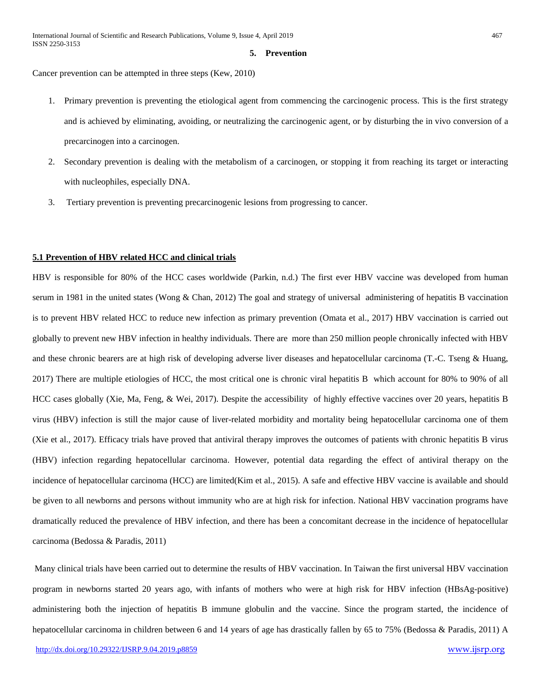#### **5. Prevention**

Cancer prevention can be attempted in three steps (Kew, 2010)

- 1. Primary prevention is preventing the etiological agent from commencing the carcinogenic process. This is the first strategy and is achieved by eliminating, avoiding, or neutralizing the carcinogenic agent, or by disturbing the in vivo conversion of a precarcinogen into a carcinogen.
- 2. Secondary prevention is dealing with the metabolism of a carcinogen, or stopping it from reaching its target or interacting with nucleophiles, especially DNA.
- 3. Tertiary prevention is preventing precarcinogenic lesions from progressing to cancer.

## **5.1 Prevention of HBV related HCC and clinical trials**

HBV is responsible for 80% of the HCC cases worldwide (Parkin, n.d.) The first ever HBV vaccine was developed from human serum in 1981 in the united states (Wong & Chan, 2012) The goal and strategy of universal administering of hepatitis B vaccination is to prevent HBV related HCC to reduce new infection as primary prevention (Omata et al., 2017) HBV vaccination is carried out globally to prevent new HBV infection in healthy individuals. There are more than 250 million people chronically infected with HBV and these chronic bearers are at high risk of developing adverse liver diseases and hepatocellular carcinoma (T.-C. Tseng & Huang, 2017) There are multiple etiologies of HCC, the most critical one is chronic viral hepatitis B which account for 80% to 90% of all HCC cases globally (Xie, Ma, Feng, & Wei, 2017). Despite the accessibility of highly effective vaccines over 20 years, hepatitis B virus (HBV) infection is still the major cause of liver-related morbidity and mortality being hepatocellular carcinoma one of them (Xie et al., 2017). Efficacy trials have proved that antiviral therapy improves the outcomes of patients with chronic hepatitis B virus (HBV) infection regarding hepatocellular carcinoma. However, potential data regarding the effect of antiviral therapy on the incidence of hepatocellular carcinoma (HCC) are limited(Kim et al., 2015). A safe and effective HBV vaccine is available and should be given to all newborns and persons without immunity who are at high risk for infection. National HBV vaccination programs have dramatically reduced the prevalence of HBV infection, and there has been a concomitant decrease in the incidence of hepatocellular carcinoma (Bedossa & Paradis, 2011)

Many clinical trials have been carried out to determine the results of HBV vaccination. In Taiwan the first universal HBV vaccination program in newborns started 20 years ago, with infants of mothers who were at high risk for HBV infection (HBsAg-positive) administering both the injection of hepatitis B immune globulin and the vaccine. Since the program started, the incidence of hepatocellular carcinoma in children between 6 and 14 years of age has drastically fallen by 65 to 75% (Bedossa & Paradis, 2011) A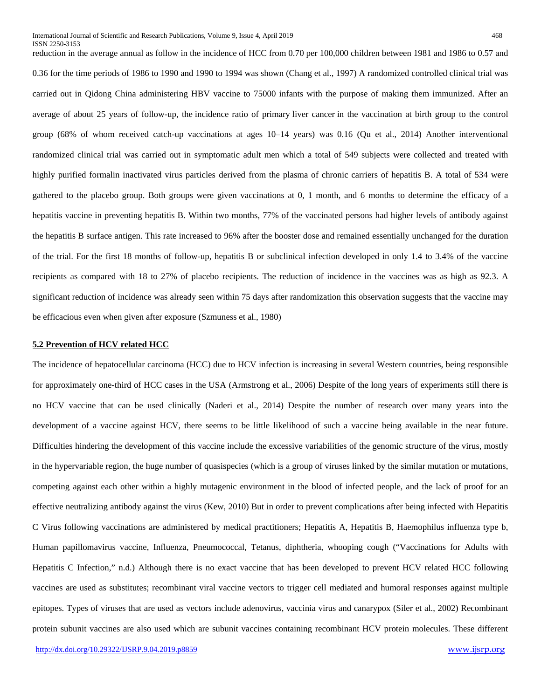0.36 for the time [periods](https://www.ncbi.nlm.nih.gov/pubmedhealth/PMHT0023146) of 1986 to 1990 and 1990 to 1994 was shown (Chang et al., 1997) A randomized controlled clinical trial was carried out in Qidong China administering HBV vaccine to 75000 infants with the purpose of making them immunized. After an average of about 25 years of follow-up, the [incidence](https://www.ncbi.nlm.nih.gov/pubmedhealth/PMHT0029370) ratio of primary [liver cancer](https://www.ncbi.nlm.nih.gov/pubmedhealth/PMHT0021884) in the vaccination at birth group to the control group (68% of whom received catch-up vaccinations at ages 10–14 years) was 0.16 (Qu et al., 2014) Another interventional randomized clinical trial was carried out in symptomatic adult men which a total of 549 subjects were collected and treated with highly purified formalin inactivated virus particles derived from the plasma of chronic carriers of hepatitis B. A total of 534 were gathered to the placebo group. Both groups were given vaccinations at 0, 1 month, and 6 months to determine the efficacy of a hepatitis vaccine in preventing hepatitis B. Within two months, 77% of the vaccinated persons had higher levels of antibody against the hepatitis B surface antigen. This rate increased to 96% after the booster dose and remained essentially unchanged for the duration of the trial. For the first 18 months of follow-up, hepatitis B or subclinical infection developed in only 1.4 to 3.4% of the vaccine recipients as compared with 18 to 27% of placebo recipients. The reduction of incidence in the vaccines was as high as 92.3. A significant reduction of incidence was already seen within 75 days after randomization this observation suggests that the vaccine may be efficacious even when given after exposure (Szmuness et al., 1980)

#### **5.2 Prevention of HCV related HCC**

The incidence of hepatocellular carcinoma (HCC) due to HCV infection is increasing in several Western countries, being responsible for approximately one-third of HCC cases in the USA (Armstrong et al., 2006) Despite of the long years of experiments still there is no HCV vaccine that can be used clinically (Naderi et al., 2014) Despite the number of research over many years into the development of a vaccine against HCV, there seems to be little likelihood of such a vaccine being available in the near future. Difficulties hindering the development of this vaccine include the excessive variabilities of the genomic structure of the virus, mostly in the hypervariable region, the huge number of quasispecies (which is a group of viruses linked by the similar mutation or mutations, competing against each other within a highly mutagenic environment in the blood of infected people, and the lack of proof for an effective neutralizing antibody against the virus (Kew, 2010) But in order to prevent complications after being infected with Hepatitis C Virus following vaccinations are administered by medical practitioners; Hepatitis A, Hepatitis B, Haemophilus influenza type b, Human papillomavirus vaccine, Influenza, Pneumococcal, Tetanus, diphtheria, whooping cough ("Vaccinations for Adults with Hepatitis C Infection," n.d.) Although there is no exact vaccine that has been developed to prevent HCV related HCC following vaccines are used as substitutes; recombinant viral vaccine vectors to trigger cell mediated and humoral responses against multiple epitopes. Types of viruses that are used as vectors include adenovirus, vaccinia virus and canarypox (Siler et al., 2002) Recombinant protein subunit vaccines are also used which are subunit vaccines containing recombinant HCV protein molecules. These different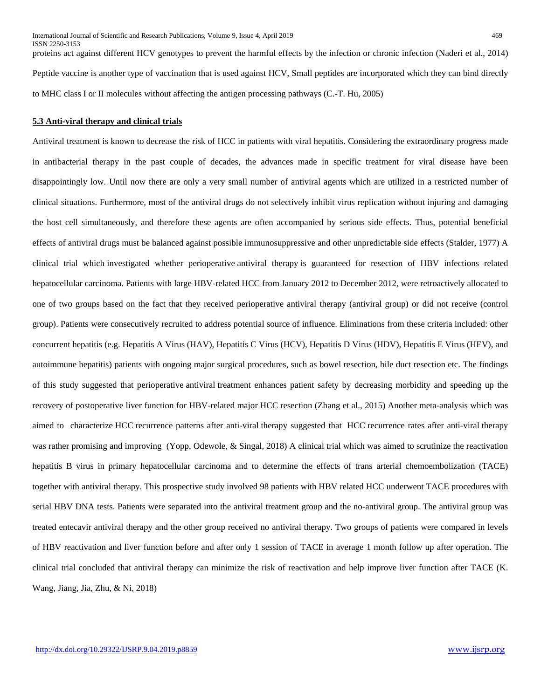proteins act against different HCV genotypes to prevent the harmful effects by the infection or chronic infection (Naderi et al., 2014) Peptide vaccine is another type of vaccination that is used against HCV, Small peptides are incorporated which they can bind directly to MHC class I or II molecules without affecting the antigen processing pathways (C.-T. Hu, 2005)

## **5.3 Anti-viral therapy and clinical trials**

Antiviral treatment is known to decrease the risk of HCC in patients with viral hepatitis. Considering the extraordinary progress made in antibacterial therapy in the past couple of decades, the advances made in specific treatment for viral disease have been disappointingly low. Until now there are only a very small number of antiviral agents which are utilized in a restricted number of clinical situations. Furthermore, most of the antiviral drugs do not selectively inhibit virus replication without injuring and damaging the host cell simultaneously, and therefore these agents are often accompanied by serious side effects. Thus, potential beneficial effects of antiviral drugs must be balanced against possible immunosuppressive and other unpredictable side effects (Stalder, 1977) A clinical trial which investigated whether perioperative antiviral therapy is guaranteed for resection of HBV infections related hepatocellular carcinoma. Patients with large HBV-related HCC from January 2012 to December 2012, were retroactively allocated to one of two groups based on the fact that they received perioperative antiviral therapy (antiviral group) or did not receive (control group). Patients were consecutively recruited to address potential source of influence. Eliminations from these criteria included: other concurrent hepatitis (e.g. Hepatitis A Virus (HAV), Hepatitis C Virus (HCV), Hepatitis D Virus (HDV), Hepatitis E Virus (HEV), and autoimmune hepatitis) patients with ongoing major surgical procedures, such as bowel resection, bile duct resection etc. The findings of this study suggested that perioperative antiviral treatment enhances patient safety by decreasing morbidity and speeding up the recovery of postoperative liver function for HBV-related major HCC resection (Zhang et al., 2015) Another meta-analysis which was aimed to characterize HCC recurrence patterns after anti-viral therapy suggested that HCC recurrence rates after anti-viral therapy was rather promising and improving (Yopp, Odewole, & Singal, 2018) A clinical trial which was aimed to scrutinize the reactivation hepatitis B virus in primary hepatocellular carcinoma and to determine the effects of trans arterial chemoembolization (TACE) together with antiviral therapy. This prospective study involved 98 patients with HBV related HCC underwent TACE procedures with serial HBV DNA tests. Patients were separated into the antiviral treatment group and the no-antiviral group. The antiviral group was treated entecavir antiviral therapy and the other group received no antiviral therapy. Two groups of patients were compared in levels of HBV reactivation and liver function before and after only 1 session of TACE in average 1 month follow up after operation. The clinical trial concluded that antiviral therapy can minimize the risk of reactivation and help improve liver function after TACE (K. Wang, Jiang, Jia, Zhu, & Ni, 2018)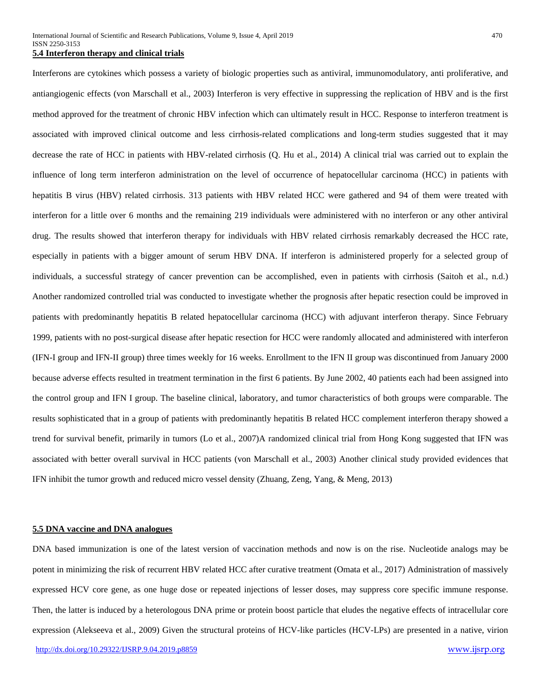## **5.4 Interferon therapy and clinical trials**

Interferons are cytokines which possess a variety of biologic properties such as antiviral, immunomodulatory, anti proliferative, and antiangiogenic effects (von Marschall et al., 2003) Interferon is very effective in suppressing the replication of HBV and is the first method approved for the treatment of chronic HBV infection which can ultimately result in HCC. Response to interferon treatment is associated with improved clinical outcome and less cirrhosis-related complications and long-term studies suggested that it may decrease the rate of HCC in patients with HBV-related cirrhosis (Q. Hu et al., 2014) A clinical trial was carried out to explain the influence of long term interferon administration on the level of occurrence of hepatocellular carcinoma (HCC) in patients with hepatitis B virus (HBV) related cirrhosis. 313 patients with HBV related HCC were gathered and 94 of them were treated with interferon for a little over 6 months and the remaining 219 individuals were administered with no interferon or any other antiviral drug. The results showed that interferon therapy for individuals with HBV related cirrhosis remarkably decreased the HCC rate, especially in patients with a bigger amount of serum HBV DNA. If interferon is administered properly for a selected group of individuals, a successful strategy of cancer prevention can be accomplished, even in patients with cirrhosis (Saitoh et al., n.d.) Another randomized controlled trial was conducted to investigate whether the prognosis after hepatic resection could be improved in patients with predominantly hepatitis B related hepatocellular carcinoma (HCC) with adjuvant interferon therapy. Since February 1999, patients with no post-surgical disease after hepatic resection for HCC were randomly allocated and administered with interferon (IFN-I group and IFN-II group) three times weekly for 16 weeks. Enrollment to the IFN II group was discontinued from January 2000 because adverse effects resulted in treatment termination in the first 6 patients. By June 2002, 40 patients each had been assigned into the control group and IFN I group. The baseline clinical, laboratory, and tumor characteristics of both groups were comparable. The results sophisticated that in a group of patients with predominantly hepatitis B related HCC complement interferon therapy showed a trend for survival benefit, primarily in tumors (Lo et al., 2007)A randomized clinical trial from Hong Kong suggested that IFN was associated with better overall survival in HCC patients (von Marschall et al., 2003) Another clinical study provided evidences that IFN inhibit the tumor growth and reduced micro vessel density (Zhuang, Zeng, Yang, & Meng, 2013)

# **5.5 DNA vaccine and DNA analogues**

[http://dx.doi.org/10.29322/IJSRP.9.04.2019.p8859](http://dx.doi.org/10.29322/IJSRP.9.03.2019.p8859) [www.ijsrp.org](http://ijsrp.org/) DNA based immunization is one of the latest version of vaccination methods and now is on the rise. Nucleotide analogs may be potent in minimizing the risk of recurrent HBV related HCC after curative treatment (Omata et al., 2017) Administration of massively expressed HCV core gene, as one huge dose or repeated injections of lesser doses, may suppress core specific immune response. Then, the latter is induced by a heterologous DNA prime or protein boost particle that eludes the negative effects of intracellular core expression (Alekseeva et al., 2009) Given the structural proteins of HCV-like particles (HCV-LPs) are presented in a native, virion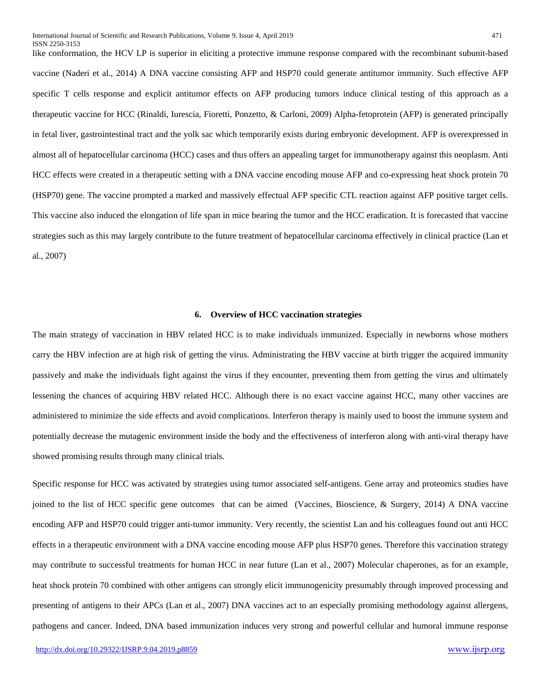like conformation, the HCV LP is superior in eliciting a protective immune response compared with the recombinant subunit-based vaccine (Naderi et al., 2014) A DNA vaccine consisting AFP and HSP70 could generate antitumor immunity. Such effective AFP specific T cells response and explicit antitumor effects on AFP producing tumors induce clinical testing of this approach as a therapeutic vaccine for HCC (Rinaldi, Iurescia, Fioretti, Ponzetto, & Carloni, 2009) Alpha-fetoprotein (AFP) is generated principally in fetal liver, gastrointestinal tract and the yolk sac which temporarily exists during embryonic development. AFP is overexpressed in almost all of hepatocellular carcinoma (HCC) cases and thus offers an appealing target for immunotherapy against this neoplasm. Anti HCC effects were created in a therapeutic setting with a DNA vaccine encoding mouse AFP and co-expressing heat shock protein 70 (HSP70) gene. The vaccine prompted a marked and massively effectual AFP specific CTL reaction against AFP positive target cells. This vaccine also induced the elongation of life span in mice bearing the tumor and the HCC eradication. It is forecasted that vaccine strategies such as this may largely contribute to the future treatment of hepatocellular carcinoma effectively in clinical practice (Lan et al., 2007)

## **6. Overview of HCC vaccination strategies**

The main strategy of vaccination in HBV related HCC is to make individuals immunized. Especially in newborns whose mothers carry the HBV infection are at high risk of getting the virus. Administrating the HBV vaccine at birth trigger the acquired immunity passively and make the individuals fight against the virus if they encounter, preventing them from getting the virus and ultimately lessening the chances of acquiring HBV related HCC. Although there is no exact vaccine against HCC, many other vaccines are administered to minimize the side effects and avoid complications. Interferon therapy is mainly used to boost the immune system and potentially decrease the mutagenic environment inside the body and the effectiveness of interferon along with anti-viral therapy have showed promising results through many clinical trials.

Specific response for HCC was activated by strategies using tumor associated self-antigens. Gene array and proteomics studies have joined to the list of HCC specific gene outcomes that can be aimed (Vaccines, Bioscience, & Surgery, 2014) A DNA vaccine encoding AFP and HSP70 could trigger anti-tumor immunity. Very recently, the scientist Lan and his colleagues found out anti HCC effects in a therapeutic environment with a DNA vaccine encoding mouse AFP plus HSP70 genes. Therefore this vaccination strategy may contribute to successful treatments for human HCC in near future (Lan et al., 2007) Molecular chaperones, as for an example, heat shock protein 70 combined with other antigens can strongly elicit immunogenicity presumably through improved processing and presenting of antigens to their APCs (Lan et al., 2007) DNA vaccines act to an especially promising methodology against allergens, pathogens and cancer. Indeed, DNA based immunization induces very strong and powerful cellular and humoral immune response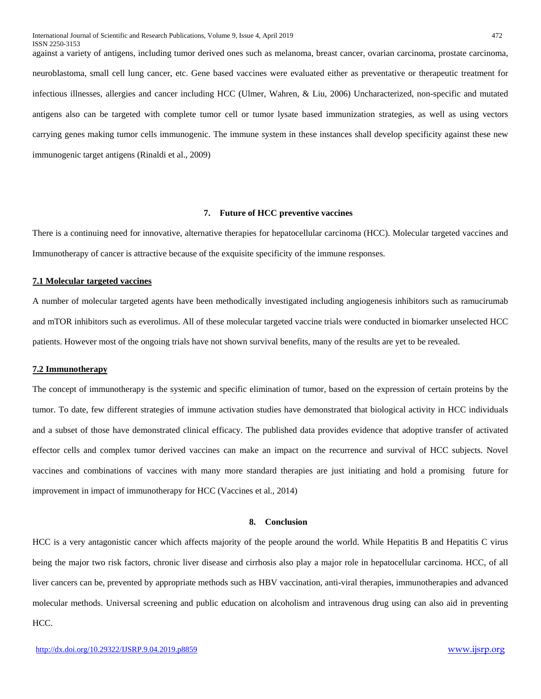against a variety of antigens, including tumor derived ones such as melanoma, breast cancer, ovarian carcinoma, prostate carcinoma, neuroblastoma, small cell lung cancer, etc. Gene based vaccines were evaluated either as preventative or therapeutic treatment for infectious illnesses, allergies and cancer including HCC (Ulmer, Wahren, & Liu, 2006) Uncharacterized, non-specific and mutated antigens also can be targeted with complete tumor cell or tumor lysate based immunization strategies, as well as using vectors carrying genes making tumor cells immunogenic. The immune system in these instances shall develop specificity against these new immunogenic target antigens (Rinaldi et al., 2009)

## **7. Future of HCC preventive vaccines**

There is a continuing need for innovative, alternative therapies for hepatocellular carcinoma (HCC). Molecular targeted vaccines and Immunotherapy of cancer is attractive because of the exquisite specificity of the immune responses.

## **7.1 Molecular targeted vaccines**

A number of molecular targeted agents have been methodically investigated including angiogenesis inhibitors such as ramucirumab and mTOR inhibitors such as everolimus. All of these molecular targeted vaccine trials were conducted in biomarker unselected HCC patients. However most of the ongoing trials have not shown survival benefits, many of the results are yet to be revealed.

## **7.2 Immunotherapy**

The concept of immunotherapy is the systemic and specific elimination of tumor, based on the expression of certain proteins by the tumor. To date, few different strategies of immune activation studies have demonstrated that biological activity in HCC individuals and a subset of those have demonstrated clinical efficacy. The published data provides evidence that adoptive transfer of activated effector cells and complex tumor derived vaccines can make an impact on the recurrence and survival of HCC subjects. Novel vaccines and combinations of vaccines with many more standard therapies are just initiating and hold a promising future for improvement in impact of immunotherapy for HCC (Vaccines et al., 2014)

#### **8. Conclusion**

HCC is a very antagonistic cancer which affects majority of the people around the world. While Hepatitis B and Hepatitis C virus being the major two risk factors, chronic liver disease and cirrhosis also play a major role in hepatocellular carcinoma. HCC, of all liver cancers can be, prevented by appropriate methods such as HBV vaccination, anti-viral therapies, immunotherapies and advanced molecular methods. Universal screening and public education on alcoholism and intravenous drug using can also aid in preventing HCC.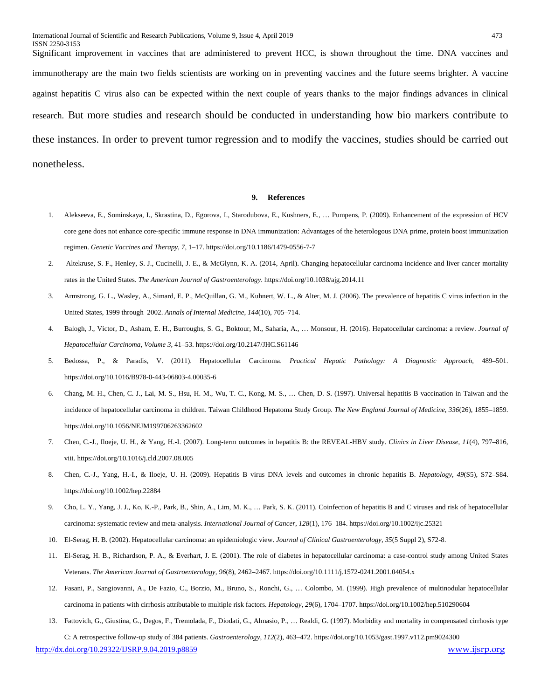Significant improvement in vaccines that are administered to prevent HCC, is shown throughout the time. DNA vaccines and immunotherapy are the main two fields scientists are working on in preventing vaccines and the future seems brighter. A vaccine against hepatitis C virus also can be expected within the next couple of years thanks to the major findings advances in clinical research. But more studies and research should be conducted in understanding how bio markers contribute to these instances. In order to prevent tumor regression and to modify the vaccines, studies should be carried out nonetheless.

#### **9. References**

- 1. Alekseeva, E., Sominskaya, I., Skrastina, D., Egorova, I., Starodubova, E., Kushners, E., … Pumpens, P. (2009). Enhancement of the expression of HCV core gene does not enhance core-specific immune response in DNA immunization: Advantages of the heterologous DNA prime, protein boost immunization regimen. *Genetic Vaccines and Therapy*, *7*, 1–17. https://doi.org/10.1186/1479-0556-7-7
- 2. Altekruse, S. F., Henley, S. J., Cucinelli, J. E., & McGlynn, K. A. (2014, April). Changing hepatocellular carcinoma incidence and liver cancer mortality rates in the United States. *The American Journal of Gastroenterology*. https://doi.org/10.1038/ajg.2014.11
- 3. Armstrong, G. L., Wasley, A., Simard, E. P., McQuillan, G. M., Kuhnert, W. L., & Alter, M. J. (2006). The prevalence of hepatitis C virus infection in the United States, 1999 through 2002. *Annals of Internal Medicine*, *144*(10), 705–714.
- 4. Balogh, J., Victor, D., Asham, E. H., Burroughs, S. G., Boktour, M., Saharia, A., … Monsour, H. (2016). Hepatocellular carcinoma: a review. *Journal of Hepatocellular Carcinoma*, *Volume 3*, 41–53. https://doi.org/10.2147/JHC.S61146
- 5. Bedossa, P., & Paradis, V. (2011). Hepatocellular Carcinoma. *Practical Hepatic Pathology: A Diagnostic Approach*, 489–501. https://doi.org/10.1016/B978-0-443-06803-4.00035-6
- 6. Chang, M. H., Chen, C. J., Lai, M. S., Hsu, H. M., Wu, T. C., Kong, M. S., … Chen, D. S. (1997). Universal hepatitis B vaccination in Taiwan and the incidence of hepatocellular carcinoma in children. Taiwan Childhood Hepatoma Study Group. *The New England Journal of Medicine*, *336*(26), 1855–1859. https://doi.org/10.1056/NEJM199706263362602
- 7. Chen, C.-J., Iloeje, U. H., & Yang, H.-I. (2007). Long-term outcomes in hepatitis B: the REVEAL-HBV study. *Clinics in Liver Disease*, *11*(4), 797–816, viii. https://doi.org/10.1016/j.cld.2007.08.005
- 8. Chen, C.-J., Yang, H.-I., & Iloeje, U. H. (2009). Hepatitis B virus DNA levels and outcomes in chronic hepatitis B. *Hepatology*, *49*(S5), S72–S84. https://doi.org/10.1002/hep.22884
- 9. Cho, L. Y., Yang, J. J., Ko, K.-P., Park, B., Shin, A., Lim, M. K., … Park, S. K. (2011). Coinfection of hepatitis B and C viruses and risk of hepatocellular carcinoma: systematic review and meta-analysis. *International Journal of Cancer*, *128*(1), 176–184. https://doi.org/10.1002/ijc.25321
- 10. El-Serag, H. B. (2002). Hepatocellular carcinoma: an epidemiologic view. *Journal of Clinical Gastroenterology*, *35*(5 Suppl 2), S72-8.
- 11. El-Serag, H. B., Richardson, P. A., & Everhart, J. E. (2001). The role of diabetes in hepatocellular carcinoma: a case-control study among United States Veterans. *The American Journal of Gastroenterology*, *96*(8), 2462–2467. https://doi.org/10.1111/j.1572-0241.2001.04054.x
- 12. Fasani, P., Sangiovanni, A., De Fazio, C., Borzio, M., Bruno, S., Ronchi, G., … Colombo, M. (1999). High prevalence of multinodular hepatocellular carcinoma in patients with cirrhosis attributable to multiple risk factors. *Hepatology*, *29*(6), 1704–1707. https://doi.org/10.1002/hep.510290604
- 13. Fattovich, G., Giustina, G., Degos, F., Tremolada, F., Diodati, G., Almasio, P., … Realdi, G. (1997). Morbidity and mortality in compensated cirrhosis type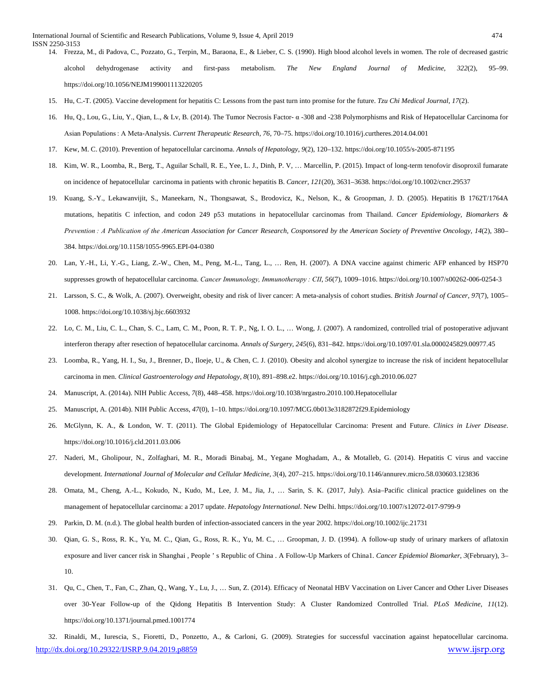- 14. Frezza, M., di Padova, C., Pozzato, G., Terpin, M., Baraona, E., & Lieber, C. S. (1990). High blood alcohol levels in women. The role of decreased gastric alcohol dehydrogenase activity and first-pass metabolism. *The New England Journal of Medicine*, *322*(2), 95–99. https://doi.org/10.1056/NEJM199001113220205
- 15. Hu, C.-T. (2005). Vaccine development for hepatitis C: Lessons from the past turn into promise for the future. *Tzu Chi Medical Journal*, *17*(2).
- 16. Hu, Q., Lou, G., Liu, Y., Qian, L., & Lv, B. (2014). The Tumor Necrosis Factor- α -308 and -238 Polymorphisms and Risk of Hepatocellular Carcinoma for Asian Populations : A Meta-Analysis. *Current Therapeutic Research*, *76*, 70–75. https://doi.org/10.1016/j.curtheres.2014.04.001
- 17. Kew, M. C. (2010). Prevention of hepatocellular carcinoma. *Annals of Hepatology*, *9*(2), 120–132. https://doi.org/10.1055/s-2005-871195
- 18. Kim, W. R., Loomba, R., Berg, T., Aguilar Schall, R. E., Yee, L. J., Dinh, P. V, … Marcellin, P. (2015). Impact of long-term tenofovir disoproxil fumarate on incidence of hepatocellular carcinoma in patients with chronic hepatitis B. *Cancer*, *121*(20), 3631–3638. https://doi.org/10.1002/cncr.29537
- 19. Kuang, S.-Y., Lekawanvijit, S., Maneekarn, N., Thongsawat, S., Brodovicz, K., Nelson, K., & Groopman, J. D. (2005). Hepatitis B 1762T/1764A mutations, hepatitis C infection, and codon 249 p53 mutations in hepatocellular carcinomas from Thailand. *Cancer Epidemiology, Biomarkers & Prevention : A Publication of the American Association for Cancer Research, Cosponsored by the American Society of Preventive Oncology*, *14*(2), 380– 384. https://doi.org/10.1158/1055-9965.EPI-04-0380
- 20. Lan, Y.-H., Li, Y.-G., Liang, Z.-W., Chen, M., Peng, M.-L., Tang, L., … Ren, H. (2007). A DNA vaccine against chimeric AFP enhanced by HSP70 suppresses growth of hepatocellular carcinoma. *Cancer Immunology, Immunotherapy : CII*, *56*(7), 1009–1016. https://doi.org/10.1007/s00262-006-0254-3
- 21. Larsson, S. C., & Wolk, A. (2007). Overweight, obesity and risk of liver cancer: A meta-analysis of cohort studies. *British Journal of Cancer*, *97*(7), 1005– 1008. https://doi.org/10.1038/sj.bjc.6603932
- 22. Lo, C. M., Liu, C. L., Chan, S. C., Lam, C. M., Poon, R. T. P., Ng, I. O. L., … Wong, J. (2007). A randomized, controlled trial of postoperative adjuvant interferon therapy after resection of hepatocellular carcinoma. *Annals of Surgery*, *245*(6), 831–842. https://doi.org/10.1097/01.sla.0000245829.00977.45
- 23. Loomba, R., Yang, H. I., Su, J., Brenner, D., Iloeje, U., & Chen, C. J. (2010). Obesity and alcohol synergize to increase the risk of incident hepatocellular carcinoma in men. *Clinical Gastroenterology and Hepatology*, *8*(10), 891–898.e2. https://doi.org/10.1016/j.cgh.2010.06.027
- 24. Manuscript, A. (2014a). NIH Public Access, *7*(8), 448–458. https://doi.org/10.1038/nrgastro.2010.100.Hepatocellular
- 25. Manuscript, A. (2014b). NIH Public Access, *47*(0), 1–10. https://doi.org/10.1097/MCG.0b013e3182872f29.Epidemiology
- 26. McGlynn, K. A., & London, W. T. (2011). The Global Epidemiology of Hepatocellular Carcinoma: Present and Future. *Clinics in Liver Disease*. https://doi.org/10.1016/j.cld.2011.03.006
- 27. Naderi, M., Gholipour, N., Zolfaghari, M. R., Moradi Binabaj, M., Yegane Moghadam, A., & Motalleb, G. (2014). Hepatitis C virus and vaccine development. *International Journal of Molecular and Cellular Medicine*, *3*(4), 207–215. https://doi.org/10.1146/annurev.micro.58.030603.123836
- 28. Omata, M., Cheng, A.-L., Kokudo, N., Kudo, M., Lee, J. M., Jia, J., … Sarin, S. K. (2017, July). Asia–Pacific clinical practice guidelines on the management of hepatocellular carcinoma: a 2017 update. *Hepatology International*. New Delhi. https://doi.org/10.1007/s12072-017-9799-9
- 29. Parkin, D. M. (n.d.). The global health burden of infection-associated cancers in the year 2002. https://doi.org/10.1002/ijc.21731
- 30. Qian, G. S., Ross, R. K., Yu, M. C., Qian, G., Ross, R. K., Yu, M. C., … Groopman, J. D. (1994). A follow-up study of urinary markers of aflatoxin exposure and liver cancer risk in Shanghai , People ' s Republic of China . A Follow-Up Markers of China1. *Cancer Epidemiol Biomarker*, *3*(February), 3– 10.
- 31. Qu, C., Chen, T., Fan, C., Zhan, Q., Wang, Y., Lu, J., … Sun, Z. (2014). Efficacy of Neonatal HBV Vaccination on Liver Cancer and Other Liver Diseases over 30-Year Follow-up of the Qidong Hepatitis B Intervention Study: A Cluster Randomized Controlled Trial. *PLoS Medicine*, *11*(12). https://doi.org/10.1371/journal.pmed.1001774

[http://dx.doi.org/10.29322/IJSRP.9.04.2019.p8859](http://dx.doi.org/10.29322/IJSRP.9.03.2019.p8859) [www.ijsrp.org](http://ijsrp.org/) 32. Rinaldi, M., Iurescia, S., Fioretti, D., Ponzetto, A., & Carloni, G. (2009). Strategies for successful vaccination against hepatocellular carcinoma.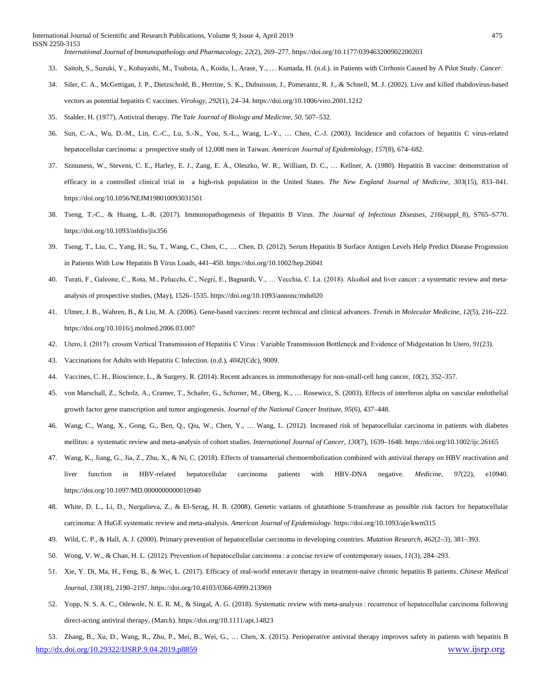International Journal of Scientific and Research Publications, Volume 9, Issue 4, April 2019 475 ISSN 2250-3153 *International Journal of Immunopathology and Pharmacology*, *22*(2), 269–277. https://doi.org/10.1177/039463200902200203

- 33. Saitoh, S., Suzuki, Y., Kobayashi, M., Tsubota, A., Koida, I., Arase, Y., … Kumada, H. (n.d.). in Patients with Cirrhosis Caused by A Pilot Study. *Cancer*.
- 34. Siler, C. A., McGettigan, J. P., Dietzschold, B., Herrine, S. K., Dubuisson, J., Pomerantz, R. J., & Schnell, M. J. (2002). Live and killed rhabdovirus-based vectors as potential hepatitis C vaccines. *Virology*, *292*(1), 24–34. https://doi.org/10.1006/viro.2001.1212
- 35. Stalder, H. (1977). Antiviral therapy. *The Yale Journal of Biology and Medicine*, *50*, 507–532.
- 36. Sun, C.-A., Wu, D.-M., Lin, C.-C., Lu, S.-N., You, S.-L., Wang, L.-Y., … Chen, C.-J. (2003). Incidence and cofactors of hepatitis C virus-related hepatocellular carcinoma: a prospective study of 12,008 men in Taiwan. *American Journal of Epidemiology*, *157*(8), 674–682.
- 37. Szmuness, W., Stevens, C. E., Harley, E. J., Zang, E. A., Oleszko, W. R., William, D. C., … Kellner, A. (1980). Hepatitis B vaccine: demonstration of efficacy in a controlled clinical trial in a high-risk population in the United States. *The New England Journal of Medicine*, *303*(15), 833–841. https://doi.org/10.1056/NEJM198010093031501
- 38. Tseng, T.-C., & Huang, L.-R. (2017). Immunopathogenesis of Hepatitis B Virus. *The Journal of Infectious Diseases*, *216*(suppl\_8), S765–S770. https://doi.org/10.1093/infdis/jix356
- 39. Tseng, T., Liu, C., Yang, H., Su, T., Wang, C., Chen, C., … Chen, D. (2012). Serum Hepatitis B Surface Antigen Levels Help Predict Disease Progression in Patients With Low Hepatitis B Virus Loads, 441–450. https://doi.org/10.1002/hep.26041
- 40. Turati, F., Galeone, C., Rota, M., Pelucchi, C., Negri, E., Bagnardi, V., ... Vecchia, C. La. (2018). Alcohol and liver cancer : a systematic review and metaanalysis of prospective studies, (May), 1526–1535. https://doi.org/10.1093/annonc/mdu020
- 41. Ulmer, J. B., Wahren, B., & Liu, M. A. (2006). Gene-based vaccines: recent technical and clinical advances. *Trends in Molecular Medicine*, *12*(5), 216–222. https://doi.org/10.1016/j.molmed.2006.03.007
- 42. Utero, I. (2017). crossm Vertical Transmission of Hepatitis C Virus : Variable Transmission Bottleneck and Evidence of Midgestation In Utero, *91*(23).
- 43. Vaccinations for Adults with Hepatitis C Infection. (n.d.), *4042*(Cdc), 9009.
- 44. Vaccines, C. H., Bioscience, L., & Surgery, R. (2014). Recent advances in immunotherapy for non-small-cell lung cancer, *10*(2), 352–357.
- 45. von Marschall, Z., Scholz, A., Cramer, T., Schafer, G., Schirner, M., Oberg, K., … Rosewicz, S. (2003). Effects of interferon alpha on vascular endothelial growth factor gene transcription and tumor angiogenesis. *Journal of the National Cancer Institute*, *95*(6), 437–448.
- 46. Wang, C., Wang, X., Gong, G., Ben, Q., Qiu, W., Chen, Y., … Wang, L. (2012). Increased risk of hepatocellular carcinoma in patients with diabetes mellitus: a systematic review and meta-analysis of cohort studies. *International Journal of Cancer*, *130*(7), 1639–1648. https://doi.org/10.1002/ijc.26165
- 47. Wang, K., Jiang, G., Jia, Z., Zhu, X., & Ni, C. (2018). Effects of transarterial chemoembolization combined with antiviral therapy on HBV reactivation and liver function in HBV-related hepatocellular carcinoma patients with HBV-DNA negative. *Medicine*, *97*(22), e10940. https://doi.org/10.1097/MD.0000000000010940
- 48. White, D. L., Li, D., Nurgalieva, Z., & El-Serag, H. B. (2008). Genetic variants of glutathione S-transferase as possible risk factors for hepatocellular carcinoma: A HuGE systematic review and meta-analysis. *American Journal of Epidemiology*. https://doi.org/10.1093/aje/kwm315
- 49. Wild, C. P., & Hall, A. J. (2000). Primary prevention of hepatocellular carcinoma in developing countries. *Mutation Research*, *462*(2–3), 381–393.
- 50. Wong, V. W., & Chan, H. L. (2012). Prevention of hepatocellular carcinoma : a concise review of contemporary issues, *11*(3), 284–293.
- 51. Xie, Y. Di, Ma, H., Feng, B., & Wei, L. (2017). Efficacy of real-world entecavir therapy in treatment-naïve chronic hepatitis B patients. *Chinese Medical Journal*, *130*(18), 2190–2197. https://doi.org/10.4103/0366-6999.213969
- 52. Yopp, N. S. A. C., Odewole, N. E. R. M., & Singal, A. G. (2018). Systematic review with meta-analysis : recurrence of hepatocellular carcinoma following direct-acting antiviral therapy, (March). https://doi.org/10.1111/apt.14823

[http://dx.doi.org/10.29322/IJSRP.9.04.2019.p8859](http://dx.doi.org/10.29322/IJSRP.9.03.2019.p8859) [www.ijsrp.org](http://ijsrp.org/) 53. Zhang, B., Xu, D., Wang, R., Zhu, P., Mei, B., Wei, G., … Chen, X. (2015). Perioperative antiviral therapy improves safety in patients with hepatitis B